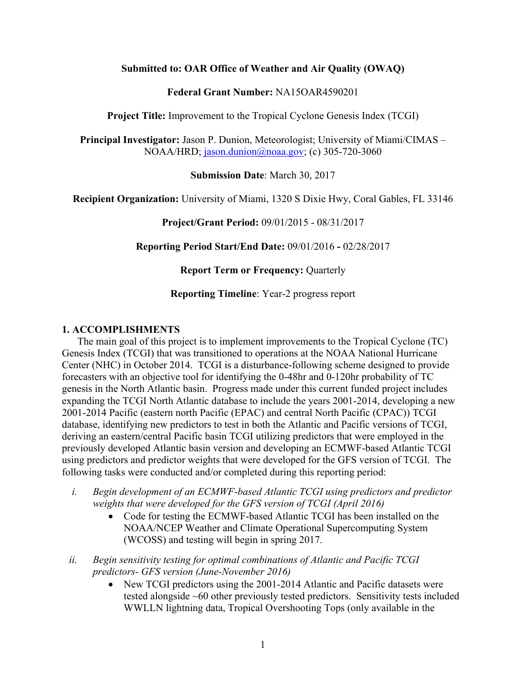#### **Submitted to: OAR Office of Weather and Air Quality (OWAQ)**

#### **Federal Grant Number:** NA15OAR4590201

**Project Title:** Improvement to the Tropical Cyclone Genesis Index (TCGI)

**Principal Investigator:** Jason P. Dunion, Meteorologist; University of Miami/CIMAS – NOAA/HRD; jason.dunion@noaa.gov; (c) 305-720-3060

**Submission Date**: March 30, 2017

**Recipient Organization:** University of Miami, 1320 S Dixie Hwy, Coral Gables, FL 33146

**Project/Grant Period:** 09/01/2015 - 08/31/2017

**Reporting Period Start/End Date:** 09/01/2016 **-** 02/28/2017

**Report Term or Frequency: Quarterly** 

**Reporting Timeline**: Year-2 progress report

#### **1. ACCOMPLISHMENTS**

The main goal of this project is to implement improvements to the Tropical Cyclone (TC) Genesis Index (TCGI) that was transitioned to operations at the NOAA National Hurricane Center (NHC) in October 2014. TCGI is a disturbance-following scheme designed to provide forecasters with an objective tool for identifying the 0-48hr and 0-120hr probability of TC genesis in the North Atlantic basin. Progress made under this current funded project includes expanding the TCGI North Atlantic database to include the years 2001-2014, developing a new 2001-2014 Pacific (eastern north Pacific (EPAC) and central North Pacific (CPAC)) TCGI database, identifying new predictors to test in both the Atlantic and Pacific versions of TCGI, deriving an eastern/central Pacific basin TCGI utilizing predictors that were employed in the previously developed Atlantic basin version and developing an ECMWF-based Atlantic TCGI using predictors and predictor weights that were developed for the GFS version of TCGI. The following tasks were conducted and/or completed during this reporting period:

- *i. Begin development of an ECMWF-based Atlantic TCGI using predictors and predictor weights that were developed for the GFS version of TCGI (April 2016)*
	- Code for testing the ECMWF-based Atlantic TCGI has been installed on the NOAA/NCEP Weather and Climate Operational Supercomputing System (WCOSS) and testing will begin in spring 2017.
- *ii. Begin sensitivity testing for optimal combinations of Atlantic and Pacific TCGI predictors- GFS version (June-November 2016)* 
	- New TCGI predictors using the 2001-2014 Atlantic and Pacific datasets were tested alongside ~60 other previously tested predictors. Sensitivity tests included WWLLN lightning data, Tropical Overshooting Tops (only available in the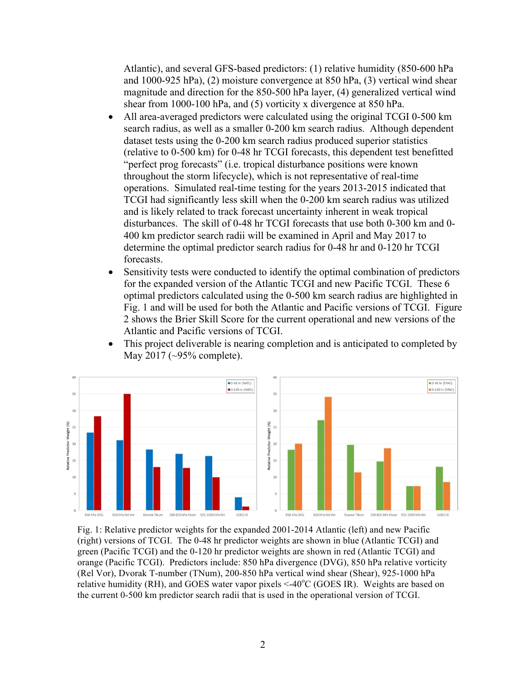Atlantic), and several GFS-based predictors: (1) relative humidity (850-600 hPa and 1000-925 hPa), (2) moisture convergence at 850 hPa, (3) vertical wind shear magnitude and direction for the 850-500 hPa layer, (4) generalized vertical wind shear from 1000-100 hPa, and (5) vorticity x divergence at 850 hPa.

- All area-averaged predictors were calculated using the original TCGI 0-500 km search radius, as well as a smaller 0-200 km search radius. Although dependent dataset tests using the 0-200 km search radius produced superior statistics (relative to 0-500 km) for 0-48 hr TCGI forecasts, this dependent test benefitted "perfect prog forecasts" (i.e. tropical disturbance positions were known throughout the storm lifecycle), which is not representative of real-time operations. Simulated real-time testing for the years 2013-2015 indicated that TCGI had significantly less skill when the 0-200 km search radius was utilized and is likely related to track forecast uncertainty inherent in weak tropical disturbances. The skill of 0-48 hr TCGI forecasts that use both 0-300 km and 0- 400 km predictor search radii will be examined in April and May 2017 to determine the optimal predictor search radius for 0-48 hr and 0-120 hr TCGI forecasts.
- Sensitivity tests were conducted to identify the optimal combination of predictors for the expanded version of the Atlantic TCGI and new Pacific TCGI. These 6 optimal predictors calculated using the 0-500 km search radius are highlighted in Fig. 1 and will be used for both the Atlantic and Pacific versions of TCGI. Figure 2 shows the Brier Skill Score for the current operational and new versions of the Atlantic and Pacific versions of TCGI.



• This project deliverable is nearing completion and is anticipated to completed by May 2017 (~95% complete).

Fig. 1: Relative predictor weights for the expanded 2001-2014 Atlantic (left) and new Pacific (right) versions of TCGI. The 0-48 hr predictor weights are shown in blue (Atlantic TCGI) and green (Pacific TCGI) and the 0-120 hr predictor weights are shown in red (Atlantic TCGI) and orange (Pacific TCGI). Predictors include: 850 hPa divergence (DVG), 850 hPa relative vorticity (Rel Vor), Dvorak T-number (TNum), 200-850 hPa vertical wind shear (Shear), 925-1000 hPa relative humidity (RH), and GOES water vapor pixels <-40°C (GOES IR). Weights are based on the current 0-500 km predictor search radii that is used in the operational version of TCGI.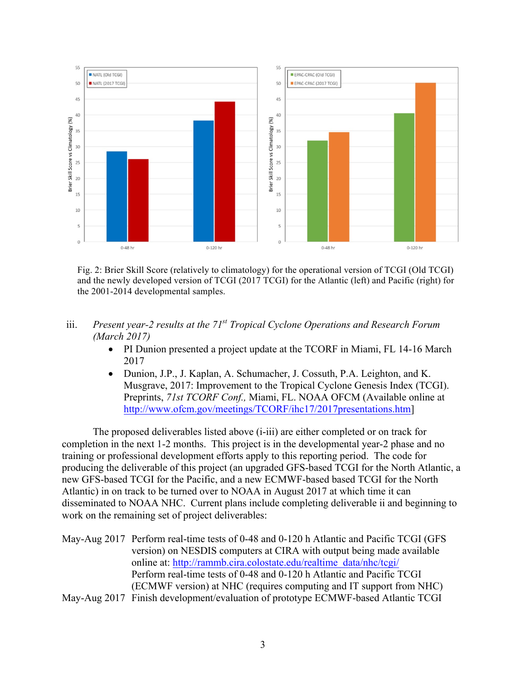

Fig. 2: Brier Skill Score (relatively to climatology) for the operational version of TCGI (Old TCGI) and the newly developed version of TCGI (2017 TCGI) for the Atlantic (left) and Pacific (right) for the 2001-2014 developmental samples.

- iii. *Present year-2 results at the 71st Tropical Cyclone Operations and Research Forum (March 2017)*
	- PI Dunion presented a project update at the TCORF in Miami, FL 14-16 March 2017
	- Dunion, J.P., J. Kaplan, A. Schumacher, J. Cossuth, P.A. Leighton, and K. Musgrave, 2017: Improvement to the Tropical Cyclone Genesis Index (TCGI). Preprints, *71st TCORF Conf.,* Miami, FL. NOAA OFCM (Available online at http://www.ofcm.gov/meetings/TCORF/ihc17/2017presentations.htm]

The proposed deliverables listed above (i-iii) are either completed or on track for completion in the next 1-2 months. This project is in the developmental year-2 phase and no training or professional development efforts apply to this reporting period. The code for producing the deliverable of this project (an upgraded GFS-based TCGI for the North Atlantic, a new GFS-based TCGI for the Pacific, and a new ECMWF-based based TCGI for the North Atlantic) in on track to be turned over to NOAA in August 2017 at which time it can disseminated to NOAA NHC. Current plans include completing deliverable ii and beginning to work on the remaining set of project deliverables:

| May-Aug 2017 Perform real-time tests of 0-48 and 0-120 h Atlantic and Pacific TCGI (GFS |
|-----------------------------------------------------------------------------------------|
| version) on NESDIS computers at CIRA with output being made available                   |
| online at: http://rammb.cira.colostate.edu/realtime_data/nhc/tcgi/                      |
| Perform real-time tests of 0-48 and 0-120 h Atlantic and Pacific TCGI                   |
| (ECMWF version) at NHC (requires computing and IT support from NHC)                     |
| May-Aug 2017 Finish development/evaluation of prototype ECMWF-based Atlantic TCGI       |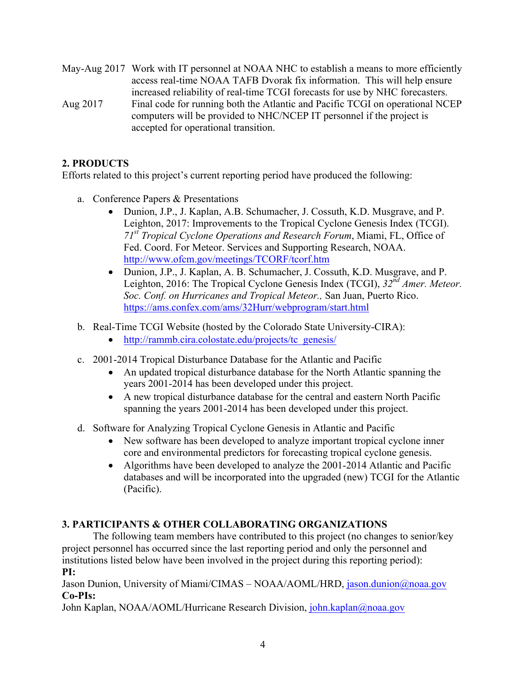May-Aug 2017 Work with IT personnel at NOAA NHC to establish a means to more efficiently access real-time NOAA TAFB Dvorak fix information. This will help ensure increased reliability of real-time TCGI forecasts for use by NHC forecasters. Aug 2017 Final code for running both the Atlantic and Pacific TCGI on operational NCEP computers will be provided to NHC/NCEP IT personnel if the project is accepted for operational transition.

# **2. PRODUCTS**

Efforts related to this project's current reporting period have produced the following:

- a. Conference Papers & Presentations
	- Dunion, J.P., J. Kaplan, A.B. Schumacher, J. Cossuth, K.D. Musgrave, and P. Leighton, 2017: Improvements to the Tropical Cyclone Genesis Index (TCGI). *71st Tropical Cyclone Operations and Research Forum*, Miami, FL, Office of Fed. Coord. For Meteor. Services and Supporting Research, NOAA. http://www.ofcm.gov/meetings/TCORF/tcorf.htm
	- Dunion, J.P., J. Kaplan, A. B. Schumacher, J. Cossuth, K.D. Musgrave, and P. Leighton, 2016: The Tropical Cyclone Genesis Index (TCGI), *32nd Amer. Meteor. Soc. Conf. on Hurricanes and Tropical Meteor.,* San Juan, Puerto Rico. https://ams.confex.com/ams/32Hurr/webprogram/start.html
- b. Real-Time TCGI Website (hosted by the Colorado State University-CIRA):
	- http://rammb.cira.colostate.edu/projects/tc\_genesis/
- c. 2001-2014 Tropical Disturbance Database for the Atlantic and Pacific
	- An updated tropical disturbance database for the North Atlantic spanning the years 2001-2014 has been developed under this project.
	- A new tropical disturbance database for the central and eastern North Pacific spanning the years 2001-2014 has been developed under this project.
- d. Software for Analyzing Tropical Cyclone Genesis in Atlantic and Pacific
	- New software has been developed to analyze important tropical cyclone inner core and environmental predictors for forecasting tropical cyclone genesis.
	- Algorithms have been developed to analyze the 2001-2014 Atlantic and Pacific databases and will be incorporated into the upgraded (new) TCGI for the Atlantic (Pacific).

# **3. PARTICIPANTS & OTHER COLLABORATING ORGANIZATIONS**

The following team members have contributed to this project (no changes to senior/key project personnel has occurred since the last reporting period and only the personnel and institutions listed below have been involved in the project during this reporting period): **PI:**

Jason Dunion, University of Miami/CIMAS – NOAA/AOML/HRD, jason.dunion@noaa.gov **Co-PIs:**

John Kaplan, NOAA/AOML/Hurricane Research Division, john.kaplan@noaa.gov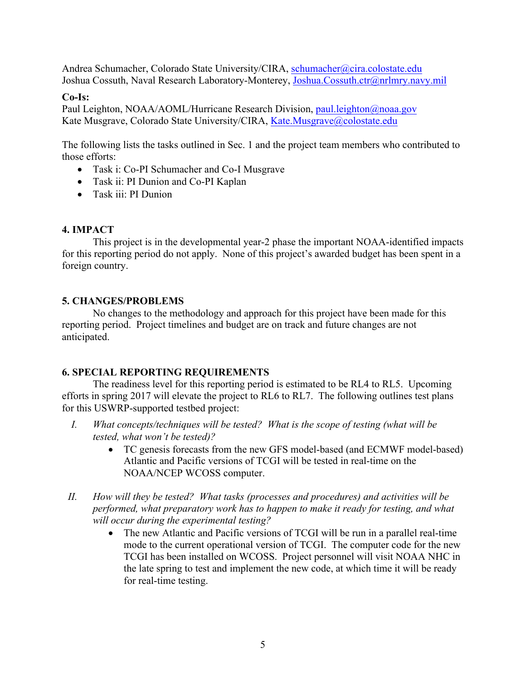Andrea Schumacher, Colorado State University/CIRA, schumacher@cira.colostate.edu Joshua Cossuth, Naval Research Laboratory-Monterey, Joshua.Cossuth.ctr@nrlmry.navy.mil

#### **Co-Is:**

Paul Leighton, NOAA/AOML/Hurricane Research Division, paul.leighton@noaa.gov Kate Musgrave, Colorado State University/CIRA, Kate.Musgrave@colostate.edu

The following lists the tasks outlined in Sec. 1 and the project team members who contributed to those efforts:

- Task i: Co-PI Schumacher and Co-I Musgrave
- Task ii: PI Dunion and Co-PI Kaplan
- Task iii: PI Dunion

## **4. IMPACT**

This project is in the developmental year-2 phase the important NOAA-identified impacts for this reporting period do not apply. None of this project's awarded budget has been spent in a foreign country.

### **5. CHANGES/PROBLEMS**

No changes to the methodology and approach for this project have been made for this reporting period. Project timelines and budget are on track and future changes are not anticipated.

### **6. SPECIAL REPORTING REQUIREMENTS**

The readiness level for this reporting period is estimated to be RL4 to RL5. Upcoming efforts in spring 2017 will elevate the project to RL6 to RL7. The following outlines test plans for this USWRP-supported testbed project:

- *I. What concepts/techniques will be tested? What is the scope of testing (what will be tested, what won't be tested)?*
	- TC genesis forecasts from the new GFS model-based (and ECMWF model-based) Atlantic and Pacific versions of TCGI will be tested in real-time on the NOAA/NCEP WCOSS computer.
- *II. How will they be tested? What tasks (processes and procedures) and activities will be performed, what preparatory work has to happen to make it ready for testing, and what will occur during the experimental testing?*
	- The new Atlantic and Pacific versions of TCGI will be run in a parallel real-time mode to the current operational version of TCGI. The computer code for the new TCGI has been installed on WCOSS. Project personnel will visit NOAA NHC in the late spring to test and implement the new code, at which time it will be ready for real-time testing.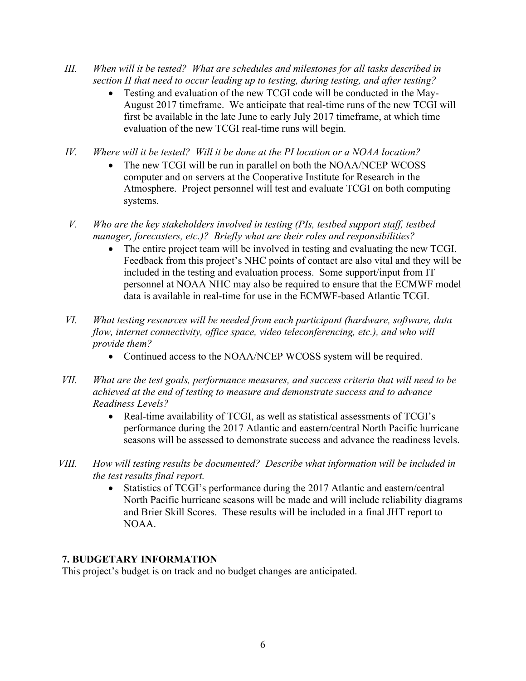- *III. When will it be tested? What are schedules and milestones for all tasks described in section II that need to occur leading up to testing, during testing, and after testing?*
	- Testing and evaluation of the new TCGI code will be conducted in the May-August 2017 timeframe. We anticipate that real-time runs of the new TCGI will first be available in the late June to early July 2017 timeframe, at which time evaluation of the new TCGI real-time runs will begin.
- *IV. Where will it be tested? Will it be done at the PI location or a NOAA location?*
	- The new TCGI will be run in parallel on both the NOAA/NCEP WCOSS computer and on servers at the Cooperative Institute for Research in the Atmosphere. Project personnel will test and evaluate TCGI on both computing systems.
- *V. Who are the key stakeholders involved in testing (PIs, testbed support staff, testbed manager, forecasters, etc.)? Briefly what are their roles and responsibilities?*
	- The entire project team will be involved in testing and evaluating the new TCGI. Feedback from this project's NHC points of contact are also vital and they will be included in the testing and evaluation process. Some support/input from IT personnel at NOAA NHC may also be required to ensure that the ECMWF model data is available in real-time for use in the ECMWF-based Atlantic TCGI.
- *VI. What testing resources will be needed from each participant (hardware, software, data flow, internet connectivity, office space, video teleconferencing, etc.), and who will provide them?*
	- Continued access to the NOAA/NCEP WCOSS system will be required.
- *VII. What are the test goals, performance measures, and success criteria that will need to be achieved at the end of testing to measure and demonstrate success and to advance Readiness Levels?*
	- Real-time availability of TCGI, as well as statistical assessments of TCGI's performance during the 2017 Atlantic and eastern/central North Pacific hurricane seasons will be assessed to demonstrate success and advance the readiness levels.
- *VIII. How will testing results be documented? Describe what information will be included in the test results final report.*
	- Statistics of TCGI's performance during the 2017 Atlantic and eastern/central North Pacific hurricane seasons will be made and will include reliability diagrams and Brier Skill Scores. These results will be included in a final JHT report to NOAA.

# **7. BUDGETARY INFORMATION**

This project's budget is on track and no budget changes are anticipated.